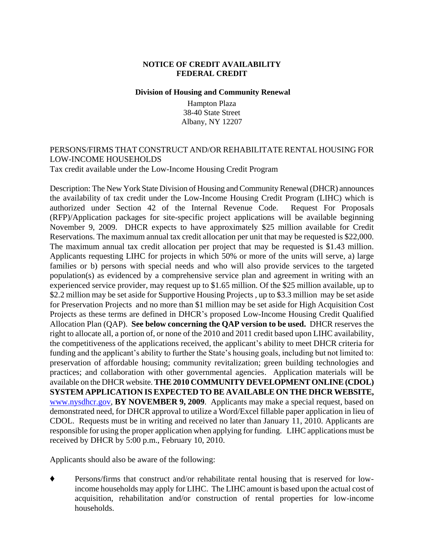### **NOTICE OF CREDIT AVAILABILITY FEDERAL CREDIT**

#### **Division of Housing and Community Renewal**

Hampton Plaza 38-40 State Street Albany, NY 12207

# PERSONS/FIRMS THAT CONSTRUCT AND/OR REHABILITATE RENTAL HOUSING FOR LOW-INCOME HOUSEHOLDS

Tax credit available under the Low-Income Housing Credit Program

Description: The New York State Division of Housing and Community Renewal (DHCR) announces the availability of tax credit under the Low-Income Housing Credit Program (LIHC) which is authorized under Section 42 of the Internal Revenue Code. Request For Proposals (RFP)/Application packages for site-specific project applications will be available beginning November 9, 2009. DHCR expects to have approximately \$25 million available for Credit Reservations. The maximum annual tax credit allocation per unit that may be requested is \$22,000. The maximum annual tax credit allocation per project that may be requested is \$1.43 million. Applicants requesting LIHC for projects in which 50% or more of the units will serve, a) large families or b) persons with special needs and who will also provide services to the targeted population(s) as evidenced by a comprehensive service plan and agreement in writing with an experienced service provider, may request up to \$1.65 million. Of the \$25 million available, up to \$2.2 million may be set aside for Supportive Housing Projects, up to \$3.3 million may be set aside for Preservation Projects and no more than \$1 million may be set aside for High Acquisition Cost Projects as these terms are defined in DHCR's proposed Low-Income Housing Credit Qualified Allocation Plan (QAP). **See below concerning the QAP version to be used.** DHCR reserves the right to allocate all, a portion of, or none of the 2010 and 2011 credit based upon LIHC availability, the competitiveness of the applications received, the applicant's ability to meet DHCR criteria for funding and the applicant's ability to further the State's housing goals, including but not limited to: preservation of affordable housing; community revitalization; green building technologies and practices; and collaboration with other governmental agencies. Application materials will be available on the DHCR website. **THE 2010 COMMUNITY DEVELOPMENT ONLINE (CDOL) SYSTEM APPLICATION IS EXPECTED TO BE AVAILABLE ON THE DHCR WEBSITE,** [www.nysdhcr.gov,](http://www.nysdhcr.gov/) **BY NOVEMBER 9, 2009**. Applicants may make a special request, based on demonstrated need, for DHCR approval to utilize a Word/Excel fillable paper application in lieu of CDOL. Requests must be in writing and received no later than January 11, 2010. Applicants are responsible for using the proper application when applying for funding. LIHC applications must be received by DHCR by 5:00 p.m., February 10, 2010.

Applicants should also be aware of the following:

 Persons/firms that construct and/or rehabilitate rental housing that is reserved for lowincome households may apply for LIHC. The LIHC amount is based upon the actual cost of acquisition, rehabilitation and/or construction of rental properties for low-income households.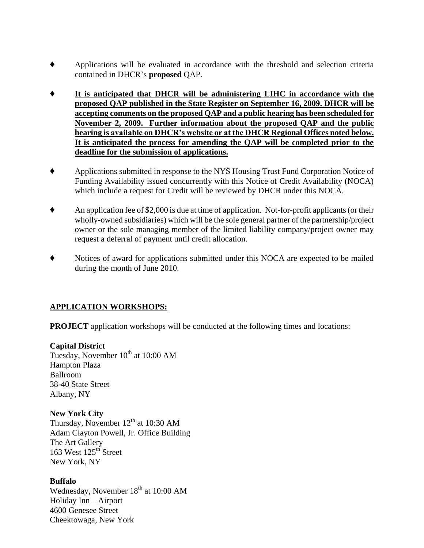- Applications will be evaluated in accordance with the threshold and selection criteria contained in DHCR's **proposed** QAP.
- **It is anticipated that DHCR will be administering LIHC in accordance with the proposed QAP published in the State Register on September 16, 2009. DHCR will be accepting comments on the proposed QAP and a public hearing has been scheduled for November 2, 2009. Further information about the proposed QAP and the public hearing is available on DHCR's website or at the DHCR Regional Offices noted below. It is anticipated the process for amending the QAP will be completed prior to the deadline for the submission of applications.**
- Applications submitted in response to the NYS Housing Trust Fund Corporation Notice of Funding Availability issued concurrently with this Notice of Credit Availability (NOCA) which include a request for Credit will be reviewed by DHCR under this NOCA.
- An application fee of \$2,000 is due at time of application. Not-for-profit applicants (or their wholly-owned subsidiaries) which will be the sole general partner of the partnership/project owner or the sole managing member of the limited liability company/project owner may request a deferral of payment until credit allocation.
- Notices of award for applications submitted under this NOCA are expected to be mailed during the month of June 2010.

# **APPLICATION WORKSHOPS:**

**PROJECT** application workshops will be conducted at the following times and locations:

# **Capital District**

Tuesday, November 10<sup>th</sup> at 10:00 AM Hampton Plaza Ballroom 38-40 State Street Albany, NY

# **New York City**

Thursday, November  $12^{th}$  at 10:30 AM Adam Clayton Powell, Jr. Office Building The Art Gallery 163 West 125<sup>th</sup> Street New York, NY

# **Buffalo**

Wednesday, November 18<sup>th</sup> at 10:00 AM Holiday Inn – Airport 4600 Genesee Street Cheektowaga, New York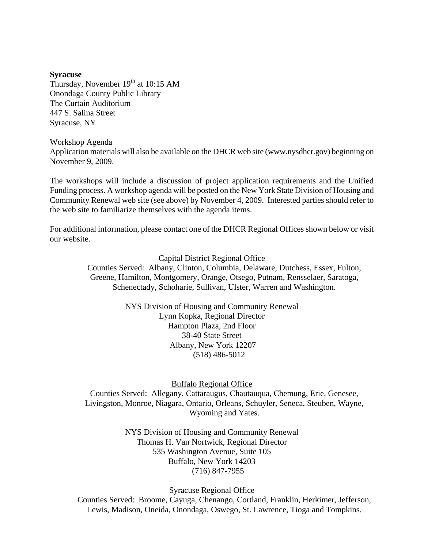#### **Syracuse**

Thursday, November  $19<sup>th</sup>$  at 10:15 AM Onondaga County Public Library The Curtain Auditorium 447 S. Salina Street Syracuse, NY

#### Workshop Agenda

Application materials will also be available on the DHCR web site (www.nysdhcr.gov) beginning on November 9, 2009.

The workshops will include a discussion of project application requirements and the Unified Funding process. A workshop agenda will be posted on the New York State Division of Housing and Community Renewal web site (see above) by November 4, 2009. Interested parties should refer to the web site to familiarize themselves with the agenda items.

For additional information, please contact one of the DHCR Regional Offices shown below or visit our website.

Capital District Regional Office

Counties Served: Albany, Clinton, Columbia, Delaware, Dutchess, Essex, Fulton, Greene, Hamilton, Montgomery, Orange, Otsego, Putnam, Rensselaer, Saratoga, Schenectady, Schoharie, Sullivan, Ulster, Warren and Washington.

> NYS Division of Housing and Community Renewal Lynn Kopka, Regional Director Hampton Plaza, 2nd Floor 38-40 State Street Albany, New York 12207 (518) 486-5012

#### Buffalo Regional Office

Counties Served: Allegany, Cattaraugus, Chautauqua, Chemung, Erie, Genesee, Livingston, Monroe, Niagara, Ontario, Orleans, Schuyler, Seneca, Steuben, Wayne, Wyoming and Yates.

> NYS Division of Housing and Community Renewal Thomas H. Van Nortwick, Regional Director 535 Washington Avenue, Suite 105 Buffalo, New York 14203 (716) 847-7955

#### Syracuse Regional Office

Counties Served: Broome, Cayuga, Chenango, Cortland, Franklin, Herkimer, Jefferson, Lewis, Madison, Oneida, Onondaga, Oswego, St. Lawrence, Tioga and Tompkins.